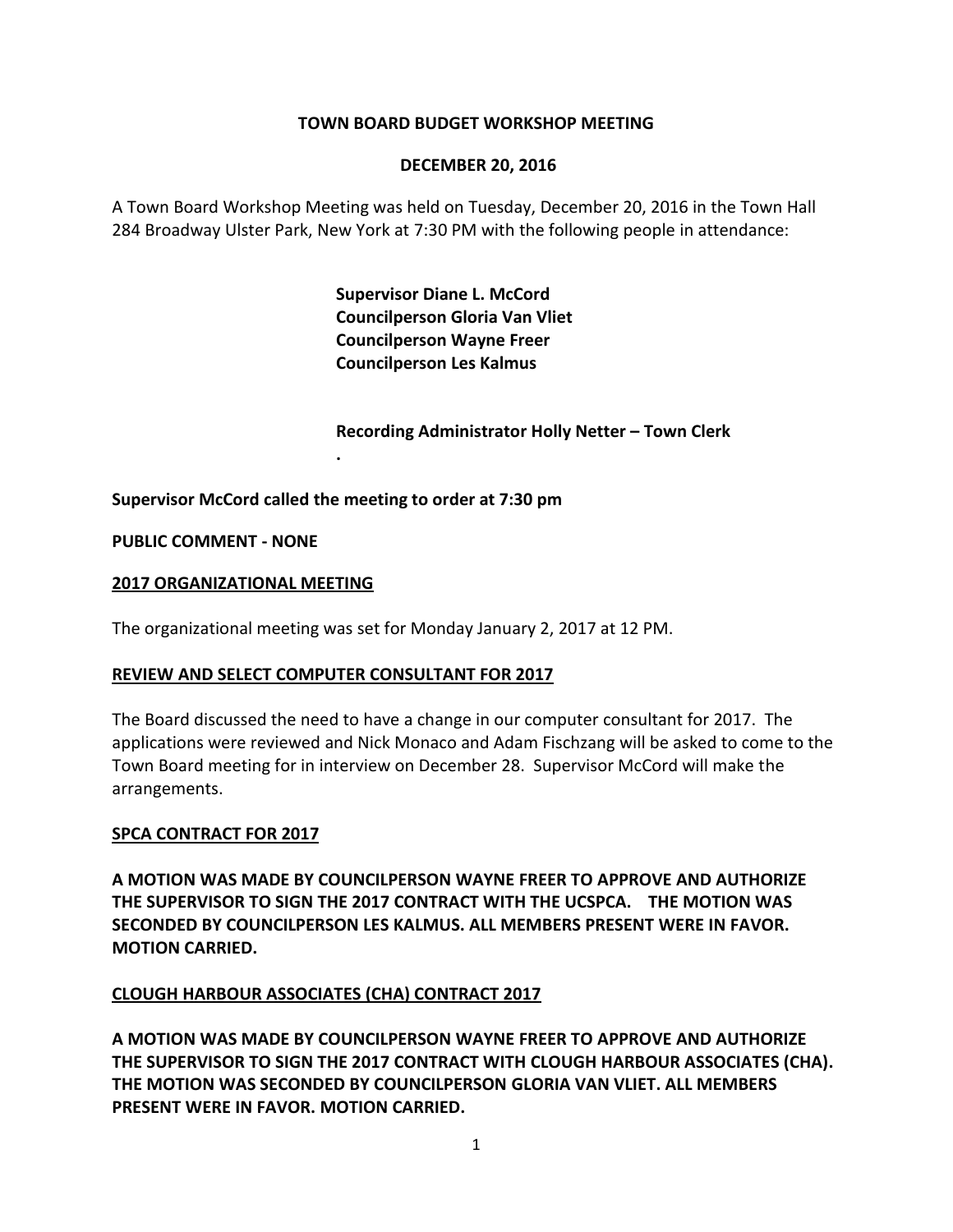## **TOWN BOARD BUDGET WORKSHOP MEETING**

#### **DECEMBER 20, 2016**

A Town Board Workshop Meeting was held on Tuesday, December 20, 2016 in the Town Hall 284 Broadway Ulster Park, New York at 7:30 PM with the following people in attendance:

> **Supervisor Diane L. McCord Councilperson Gloria Van Vliet Councilperson Wayne Freer Councilperson Les Kalmus**

**Recording Administrator Holly Netter – Town Clerk**

**Supervisor McCord called the meeting to order at 7:30 pm**

**.**

**PUBLIC COMMENT - NONE**

#### **2017 ORGANIZATIONAL MEETING**

The organizational meeting was set for Monday January 2, 2017 at 12 PM.

#### **REVIEW AND SELECT COMPUTER CONSULTANT FOR 2017**

The Board discussed the need to have a change in our computer consultant for 2017. The applications were reviewed and Nick Monaco and Adam Fischzang will be asked to come to the Town Board meeting for in interview on December 28. Supervisor McCord will make the arrangements.

#### **SPCA CONTRACT FOR 2017**

**A MOTION WAS MADE BY COUNCILPERSON WAYNE FREER TO APPROVE AND AUTHORIZE THE SUPERVISOR TO SIGN THE 2017 CONTRACT WITH THE UCSPCA. THE MOTION WAS SECONDED BY COUNCILPERSON LES KALMUS. ALL MEMBERS PRESENT WERE IN FAVOR. MOTION CARRIED.** 

#### **CLOUGH HARBOUR ASSOCIATES (CHA) CONTRACT 2017**

**A MOTION WAS MADE BY COUNCILPERSON WAYNE FREER TO APPROVE AND AUTHORIZE THE SUPERVISOR TO SIGN THE 2017 CONTRACT WITH CLOUGH HARBOUR ASSOCIATES (CHA). THE MOTION WAS SECONDED BY COUNCILPERSON GLORIA VAN VLIET. ALL MEMBERS PRESENT WERE IN FAVOR. MOTION CARRIED.**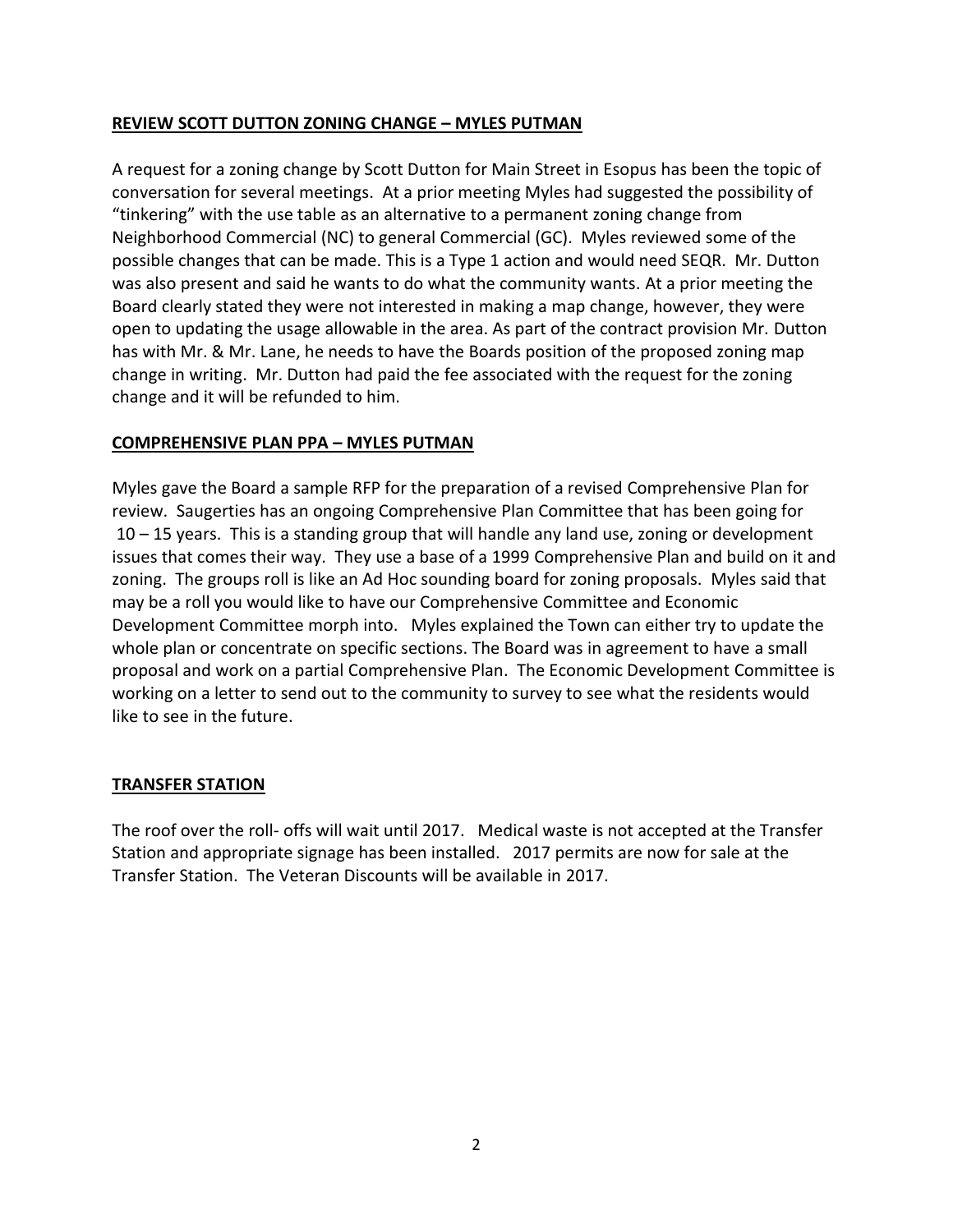## **REVIEW SCOTT DUTTON ZONING CHANGE – MYLES PUTMAN**

A request for a zoning change by Scott Dutton for Main Street in Esopus has been the topic of conversation for several meetings. At a prior meeting Myles had suggested the possibility of "tinkering" with the use table as an alternative to a permanent zoning change from Neighborhood Commercial (NC) to general Commercial (GC). Myles reviewed some of the possible changes that can be made. This is a Type 1 action and would need SEQR. Mr. Dutton was also present and said he wants to do what the community wants. At a prior meeting the Board clearly stated they were not interested in making a map change, however, they were open to updating the usage allowable in the area. As part of the contract provision Mr. Dutton has with Mr. & Mr. Lane, he needs to have the Boards position of the proposed zoning map change in writing. Mr. Dutton had paid the fee associated with the request for the zoning change and it will be refunded to him.

## **COMPREHENSIVE PLAN PPA – MYLES PUTMAN**

Myles gave the Board a sample RFP for the preparation of a revised Comprehensive Plan for review. Saugerties has an ongoing Comprehensive Plan Committee that has been going for 10 – 15 years. This is a standing group that will handle any land use, zoning or development issues that comes their way. They use a base of a 1999 Comprehensive Plan and build on it and zoning. The groups roll is like an Ad Hoc sounding board for zoning proposals. Myles said that may be a roll you would like to have our Comprehensive Committee and Economic Development Committee morph into. Myles explained the Town can either try to update the whole plan or concentrate on specific sections. The Board was in agreement to have a small proposal and work on a partial Comprehensive Plan. The Economic Development Committee is working on a letter to send out to the community to survey to see what the residents would like to see in the future.

#### **TRANSFER STATION**

The roof over the roll- offs will wait until 2017. Medical waste is not accepted at the Transfer Station and appropriate signage has been installed. 2017 permits are now for sale at the Transfer Station. The Veteran Discounts will be available in 2017.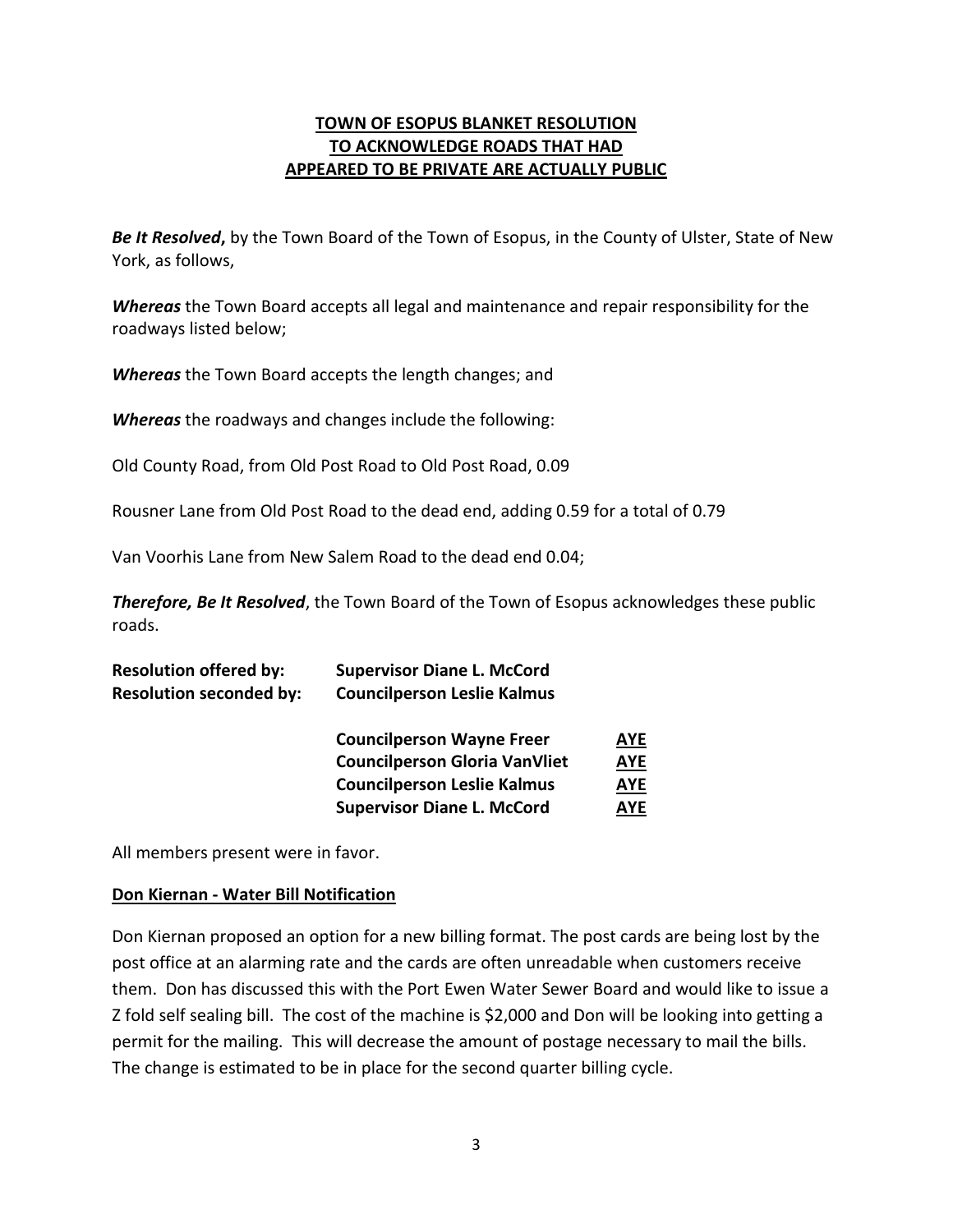## **TOWN OF ESOPUS BLANKET RESOLUTION TO ACKNOWLEDGE ROADS THAT HAD APPEARED TO BE PRIVATE ARE ACTUALLY PUBLIC**

*Be It Resolved***,** by the Town Board of the Town of Esopus, in the County of Ulster, State of New York, as follows,

*Whereas* the Town Board accepts all legal and maintenance and repair responsibility for the roadways listed below;

*Whereas* the Town Board accepts the length changes; and

*Whereas* the roadways and changes include the following:

Old County Road, from Old Post Road to Old Post Road, 0.09

Rousner Lane from Old Post Road to the dead end, adding 0.59 for a total of 0.79

Van Voorhis Lane from New Salem Road to the dead end 0.04;

*Therefore, Be It Resolved*, the Town Board of the Town of Esopus acknowledges these public roads.

| <b>Resolution offered by:</b>  | <b>Supervisor Diane L. McCord</b>    |            |
|--------------------------------|--------------------------------------|------------|
| <b>Resolution seconded by:</b> | <b>Councilperson Leslie Kalmus</b>   |            |
|                                | <b>Councilperson Wayne Freer</b>     | <b>AYE</b> |
|                                | <b>Councilperson Gloria VanVliet</b> | <b>AYE</b> |
|                                | <b>Councilperson Leslie Kalmus</b>   | <u>AYE</u> |
|                                | <b>Supervisor Diane L. McCord</b>    | <b>AYE</b> |

All members present were in favor.

#### **Don Kiernan - Water Bill Notification**

Don Kiernan proposed an option for a new billing format. The post cards are being lost by the post office at an alarming rate and the cards are often unreadable when customers receive them. Don has discussed this with the Port Ewen Water Sewer Board and would like to issue a Z fold self sealing bill. The cost of the machine is \$2,000 and Don will be looking into getting a permit for the mailing. This will decrease the amount of postage necessary to mail the bills. The change is estimated to be in place for the second quarter billing cycle.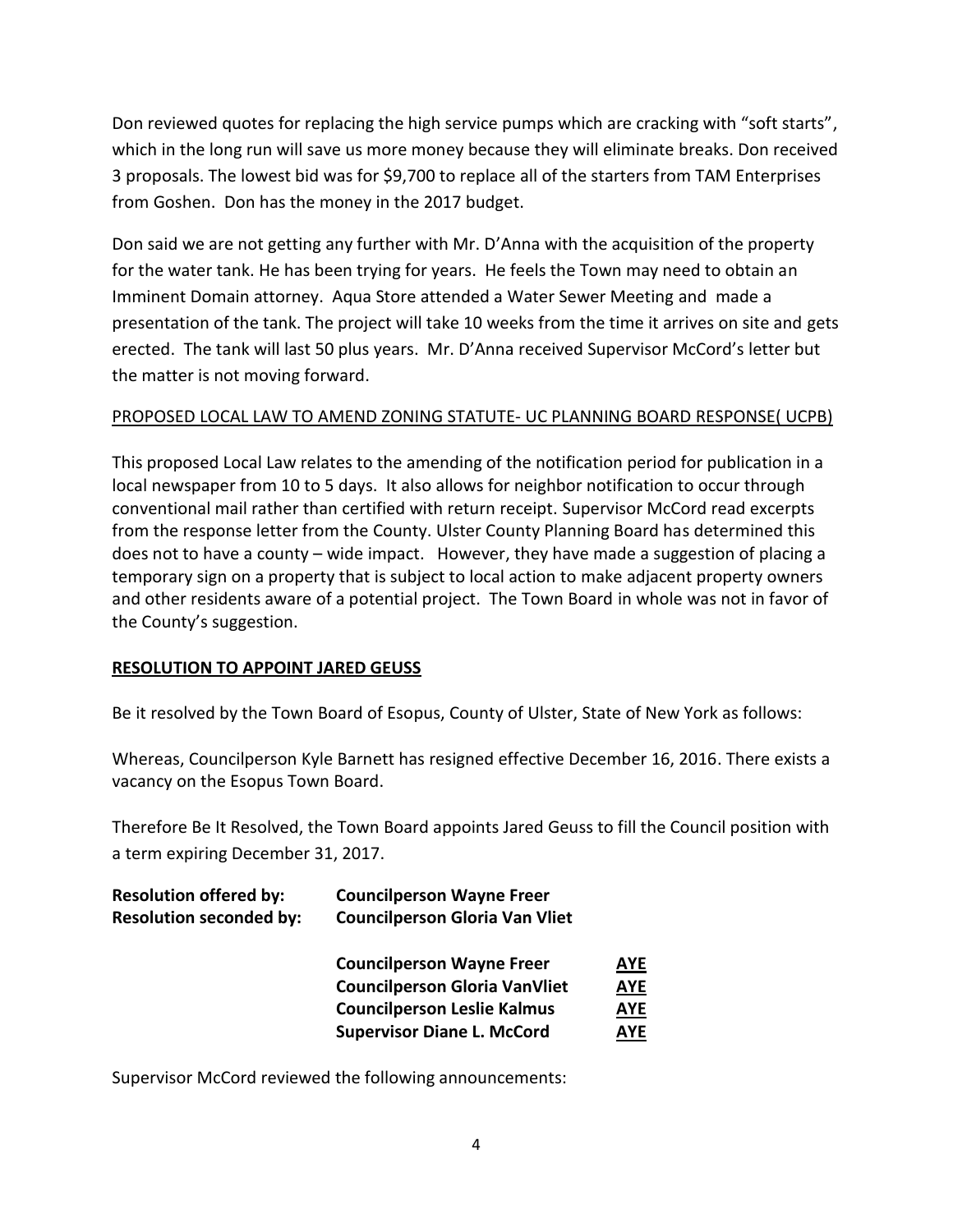Don reviewed quotes for replacing the high service pumps which are cracking with "soft starts", which in the long run will save us more money because they will eliminate breaks. Don received 3 proposals. The lowest bid was for \$9,700 to replace all of the starters from TAM Enterprises from Goshen. Don has the money in the 2017 budget.

Don said we are not getting any further with Mr. D'Anna with the acquisition of the property for the water tank. He has been trying for years. He feels the Town may need to obtain an Imminent Domain attorney. Aqua Store attended a Water Sewer Meeting and made a presentation of the tank. The project will take 10 weeks from the time it arrives on site and gets erected. The tank will last 50 plus years. Mr. D'Anna received Supervisor McCord's letter but the matter is not moving forward.

# PROPOSED LOCAL LAW TO AMEND ZONING STATUTE- UC PLANNING BOARD RESPONSE( UCPB)

This proposed Local Law relates to the amending of the notification period for publication in a local newspaper from 10 to 5 days. It also allows for neighbor notification to occur through conventional mail rather than certified with return receipt. Supervisor McCord read excerpts from the response letter from the County. Ulster County Planning Board has determined this does not to have a county – wide impact. However, they have made a suggestion of placing a temporary sign on a property that is subject to local action to make adjacent property owners and other residents aware of a potential project. The Town Board in whole was not in favor of the County's suggestion.

## **RESOLUTION TO APPOINT JARED GEUSS**

Be it resolved by the Town Board of Esopus, County of Ulster, State of New York as follows:

Whereas, Councilperson Kyle Barnett has resigned effective December 16, 2016. There exists a vacancy on the Esopus Town Board.

Therefore Be It Resolved, the Town Board appoints Jared Geuss to fill the Council position with a term expiring December 31, 2017.

| <b>Resolution offered by:</b>  | <b>Councilperson Wayne Freer</b>      |            |
|--------------------------------|---------------------------------------|------------|
| <b>Resolution seconded by:</b> | <b>Councilperson Gloria Van Vliet</b> |            |
|                                | <b>Councilperson Wayne Freer</b>      | <b>AYE</b> |
|                                | <b>Councilperson Gloria VanVliet</b>  | <u>AYE</u> |
|                                | <b>Councilperson Leslie Kalmus</b>    | <u>AYE</u> |
|                                | <b>Supervisor Diane L. McCord</b>     | <b>AYE</b> |

Supervisor McCord reviewed the following announcements: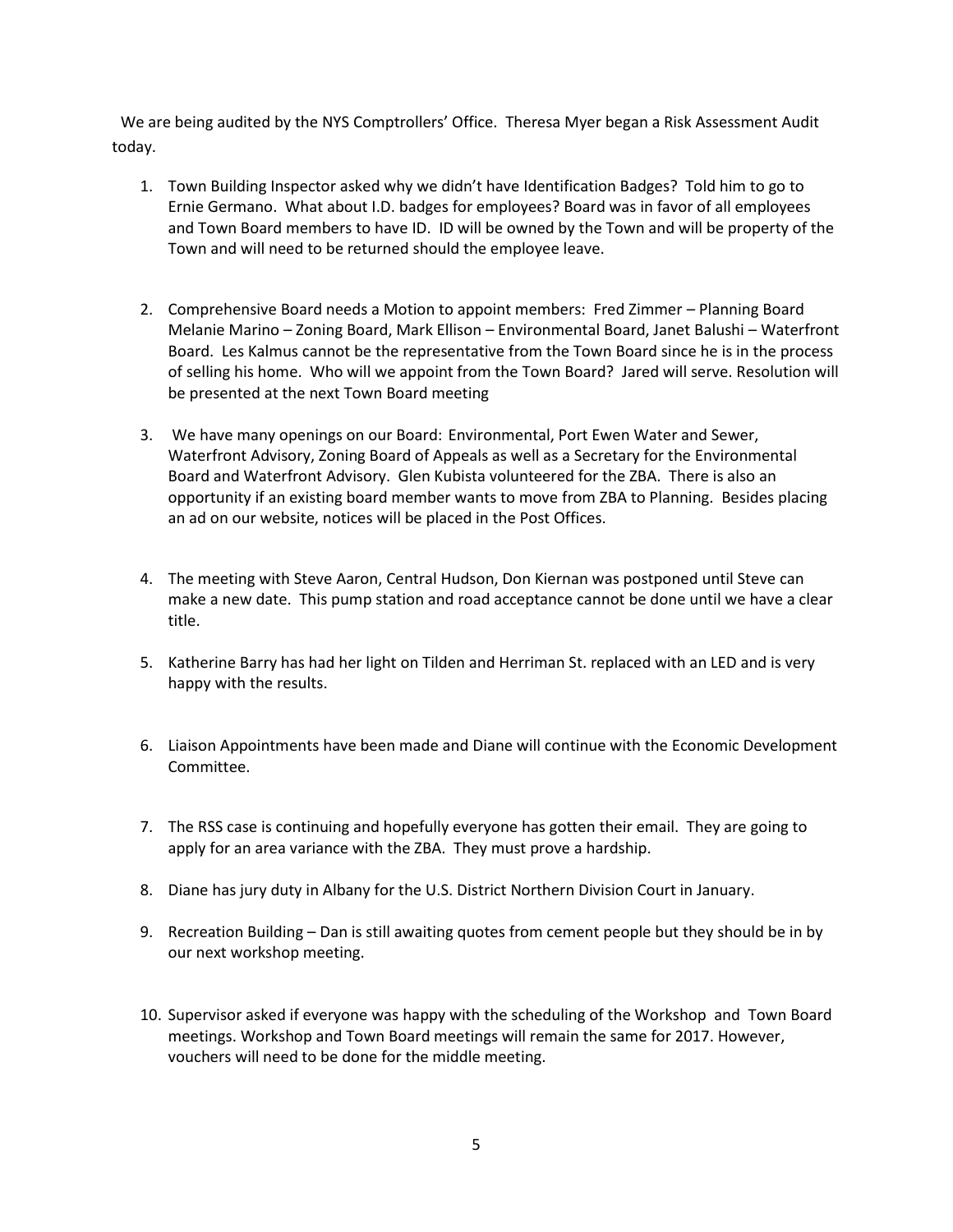We are being audited by the NYS Comptrollers' Office. Theresa Myer began a Risk Assessment Audit today.

- 1. Town Building Inspector asked why we didn't have Identification Badges? Told him to go to Ernie Germano. What about I.D. badges for employees? Board was in favor of all employees and Town Board members to have ID. ID will be owned by the Town and will be property of the Town and will need to be returned should the employee leave.
- 2. Comprehensive Board needs a Motion to appoint members: Fred Zimmer Planning Board Melanie Marino – Zoning Board, Mark Ellison – Environmental Board, Janet Balushi – Waterfront Board. Les Kalmus cannot be the representative from the Town Board since he is in the process of selling his home. Who will we appoint from the Town Board? Jared will serve. Resolution will be presented at the next Town Board meeting
- 3. We have many openings on our Board: Environmental, Port Ewen Water and Sewer, Waterfront Advisory, Zoning Board of Appeals as well as a Secretary for the Environmental Board and Waterfront Advisory. Glen Kubista volunteered for the ZBA. There is also an opportunity if an existing board member wants to move from ZBA to Planning. Besides placing an ad on our website, notices will be placed in the Post Offices.
- 4. The meeting with Steve Aaron, Central Hudson, Don Kiernan was postponed until Steve can make a new date. This pump station and road acceptance cannot be done until we have a clear title.
- 5. Katherine Barry has had her light on Tilden and Herriman St. replaced with an LED and is very happy with the results.
- 6. Liaison Appointments have been made and Diane will continue with the Economic Development Committee.
- 7. The RSS case is continuing and hopefully everyone has gotten their email. They are going to apply for an area variance with the ZBA. They must prove a hardship.
- 8. Diane has jury duty in Albany for the U.S. District Northern Division Court in January.
- 9. Recreation Building Dan is still awaiting quotes from cement people but they should be in by our next workshop meeting.
- 10. Supervisor asked if everyone was happy with the scheduling of the Workshop and Town Board meetings. Workshop and Town Board meetings will remain the same for 2017. However, vouchers will need to be done for the middle meeting.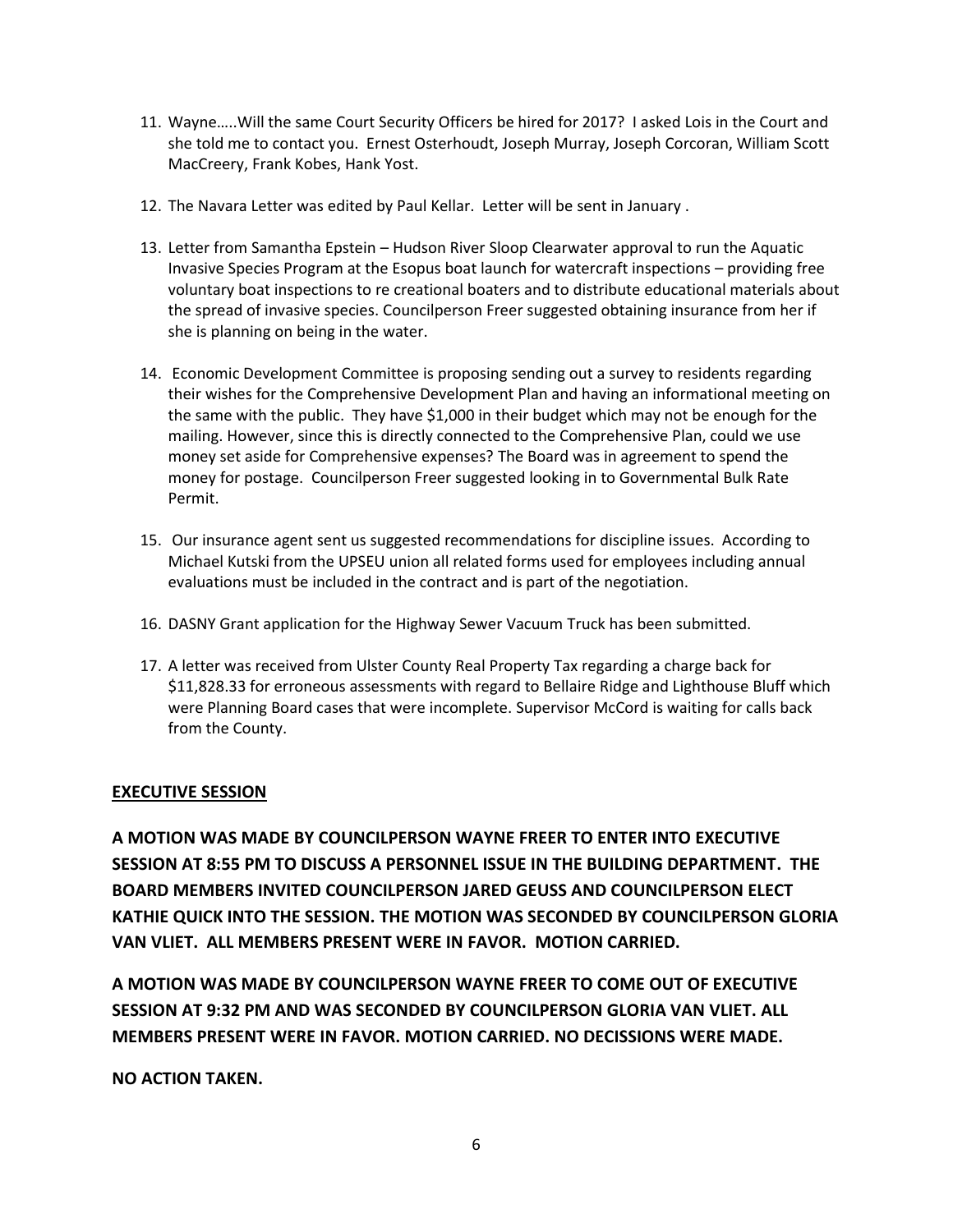- 11. Wayne…..Will the same Court Security Officers be hired for 2017? I asked Lois in the Court and she told me to contact you. Ernest Osterhoudt, Joseph Murray, Joseph Corcoran, William Scott MacCreery, Frank Kobes, Hank Yost.
- 12. The Navara Letter was edited by Paul Kellar. Letter will be sent in January .
- 13. Letter from Samantha Epstein Hudson River Sloop Clearwater approval to run the Aquatic Invasive Species Program at the Esopus boat launch for watercraft inspections – providing free voluntary boat inspections to re creational boaters and to distribute educational materials about the spread of invasive species. Councilperson Freer suggested obtaining insurance from her if she is planning on being in the water.
- 14. Economic Development Committee is proposing sending out a survey to residents regarding their wishes for the Comprehensive Development Plan and having an informational meeting on the same with the public. They have \$1,000 in their budget which may not be enough for the mailing. However, since this is directly connected to the Comprehensive Plan, could we use money set aside for Comprehensive expenses? The Board was in agreement to spend the money for postage. Councilperson Freer suggested looking in to Governmental Bulk Rate Permit.
- 15. Our insurance agent sent us suggested recommendations for discipline issues. According to Michael Kutski from the UPSEU union all related forms used for employees including annual evaluations must be included in the contract and is part of the negotiation.
- 16. DASNY Grant application for the Highway Sewer Vacuum Truck has been submitted.
- 17. A letter was received from Ulster County Real Property Tax regarding a charge back for \$11,828.33 for erroneous assessments with regard to Bellaire Ridge and Lighthouse Bluff which were Planning Board cases that were incomplete. Supervisor McCord is waiting for calls back from the County.

#### **EXECUTIVE SESSION**

**A MOTION WAS MADE BY COUNCILPERSON WAYNE FREER TO ENTER INTO EXECUTIVE SESSION AT 8:55 PM TO DISCUSS A PERSONNEL ISSUE IN THE BUILDING DEPARTMENT. THE BOARD MEMBERS INVITED COUNCILPERSON JARED GEUSS AND COUNCILPERSON ELECT KATHIE QUICK INTO THE SESSION. THE MOTION WAS SECONDED BY COUNCILPERSON GLORIA VAN VLIET. ALL MEMBERS PRESENT WERE IN FAVOR. MOTION CARRIED.** 

**A MOTION WAS MADE BY COUNCILPERSON WAYNE FREER TO COME OUT OF EXECUTIVE SESSION AT 9:32 PM AND WAS SECONDED BY COUNCILPERSON GLORIA VAN VLIET. ALL MEMBERS PRESENT WERE IN FAVOR. MOTION CARRIED. NO DECISSIONS WERE MADE.**

**NO ACTION TAKEN.**